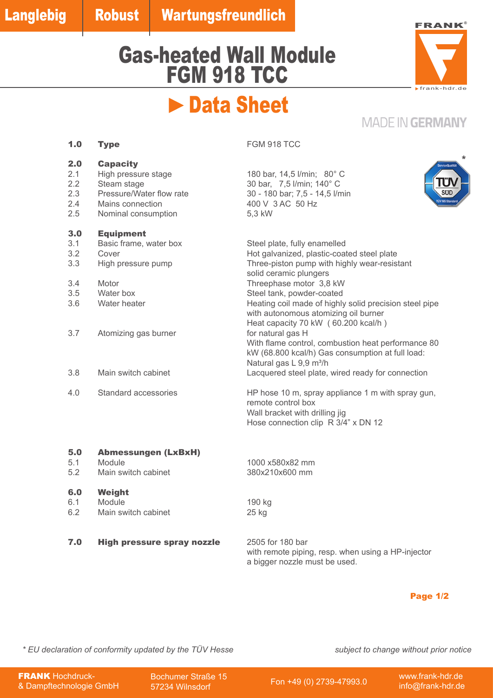## Gas-heated Wall Module FGM 918 TCC



# **Data Sheet**

### **MADE IN GERMANY**

| 2.0<br>2.1<br>2.2<br>2.3<br>2.4<br>2.5 | <b>Capacity</b><br>High pressure stage<br>Steam stage<br>Pressure/Water flow rate<br>Mains connection<br>Nominal consumption | ServiceQualitä<br>180 bar, 14,5 l/min; 80° C<br>30 bar, 7,5 l/min; 140° C<br>SUD<br>30 - 180 bar; 7,5 - 14,5 l/min<br><b>ÜV MS Standar</b><br>400 V 3 AC 50 Hz<br>5,3 kW                                                                                                                                                                                         |
|----------------------------------------|------------------------------------------------------------------------------------------------------------------------------|------------------------------------------------------------------------------------------------------------------------------------------------------------------------------------------------------------------------------------------------------------------------------------------------------------------------------------------------------------------|
| 3.0<br>3.1<br>3.2<br>3.3<br>3.4<br>3.5 | <b>Equipment</b><br>Basic frame, water box<br>Cover<br>High pressure pump<br>Motor<br>Water box                              | Steel plate, fully enamelled<br>Hot galvanized, plastic-coated steel plate<br>Three-piston pump with highly wear-resistant<br>solid ceramic plungers<br>Threephase motor 3,8 kW<br>Steel tank, powder-coated                                                                                                                                                     |
| 3.6<br>3.7<br>3.8                      | Water heater<br>Atomizing gas burner<br>Main switch cabinet                                                                  | Heating coil made of highly solid precision steel pipe<br>with autonomous atomizing oil burner<br>Heat capacity 70 kW (60.200 kcal/h)<br>for natural gas H<br>With flame control, combustion heat performance 80<br>kW (68.800 kcal/h) Gas consumption at full load:<br>Natural gas L 9,9 m <sup>3</sup> /h<br>Lacquered steel plate, wired ready for connection |
| 4.0                                    | Standard accessories                                                                                                         | HP hose 10 m, spray appliance 1 m with spray gun,<br>remote control box<br>Wall bracket with drilling jig<br>Hose connection clip R 3/4" x DN 12                                                                                                                                                                                                                 |
| 5.0<br>5.1<br>5.2                      | <b>Abmessungen (LxBxH)</b><br>Module<br>Main switch cabinet                                                                  | 1000 x580x82 mm<br>380x210x600 mm                                                                                                                                                                                                                                                                                                                                |
| 6.0                                    | Weight                                                                                                                       |                                                                                                                                                                                                                                                                                                                                                                  |

- 
- 6.1 Module<br>
6.2 Main switch cabinet<br>
25 kg Main switch cabinet
- 7.0 High pressure spray nozzle 2505 for 180 bar

with remote piping, resp. when using a HP-injector a bigger nozzle must be used.

### Page 1/2

*\* EU declaration of conformity updated by the TÜV Hesse subject to change without prior notice*

**FRANK Hochdruck-**& Dampftechnologie GmbH Bochumer Straße 15<br>57234 Wilnsdorf

57234 Wilnsdorf Fon +49 (0) 2739-47993.0 www.frank-hdr.de

info@frank-hdr.de

**1.0 Type FGM 918 TCC**